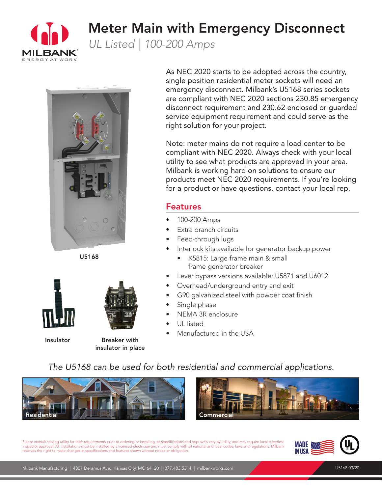

## Meter Main with Emergency Disconnect

*UL Listed | 100-200 Amps*



U5168





Insulator Breaker with insulator in place

As NEC 2020 starts to be adopted across the country, single position residential meter sockets will need an emergency disconnect. Milbank's U5168 series sockets are compliant with NEC 2020 sections 230.85 emergency disconnect requirement and 230.62 enclosed or guarded service equipment requirement and could serve as the right solution for your project.

Note: meter mains do not require a load center to be compliant with NEC 2020. Always check with your local utility to see what products are approved in your area. Milbank is working hard on solutions to ensure our products meet NEC 2020 requirements. If you're looking for a product or have questions, contact your local rep.

### Features

- 100-200 Amps
- Extra branch circuits
- Feed-through lugs
- Interlock kits available for generator backup power
	- K5815: Large frame main & small frame generator breaker
- Lever bypass versions available: U5871 and U6012
- Overhead/underground entry and exit
- G90 galvanized steel with powder coat finish
- Single phase
- NEMA 3R enclosure
- UL listed
- Manufactured in the USA

## *The U5168 can be used for both residential and commercial applications.*





Please consult serving utility for their requirements prior to ordering or installing, as specifications and approvals vary by utility, and may require local electrical inspector approval. All installations must be installed by a licensed electrician and must comply with all national and local codes, laws and regulations. Milbank reserves the right to make changes in specifications and features shown without notice or obligation.